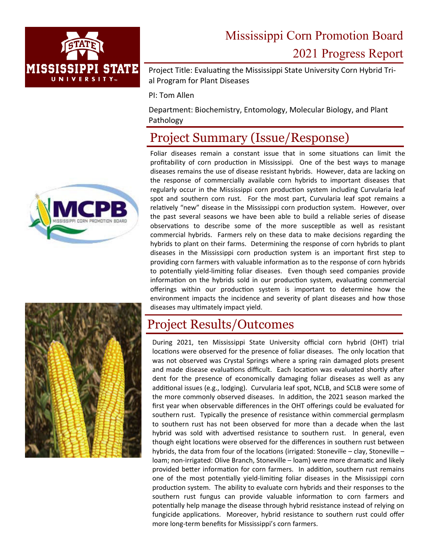

# Mississippi Corn Promotion Board 2021 Progress Report

Project Title: Evaluating the Mississippi State University Corn Hybrid Trial Program for Plant Diseases

PI: Tom Allen

Department: Biochemistry, Entomology, Molecular Biology, and Plant Pathology

### Project Summary (Issue/Response)

Foliar diseases remain a constant issue that in some situations can limit the profitability of corn production in Mississippi. One of the best ways to manage diseases remains the use of disease resistant hybrids. However, data are lacking on the response of commercially available corn hybrids to important diseases that regularly occur in the Mississippi corn production system including Curvularia leaf spot and southern corn rust. For the most part, Curvularia leaf spot remains a relatively "new" disease in the Mississippi corn production system. However, over the past several seasons we have been able to build a reliable series of disease observations to describe some of the more susceptible as well as resistant commercial hybrids. Farmers rely on these data to make decisions regarding the hybrids to plant on their farms. Determining the response of corn hybrids to plant diseases in the Mississippi corn production system is an important first step to providing corn farmers with valuable information as to the response of corn hybrids to potentially yield-limiting foliar diseases. Even though seed companies provide information on the hybrids sold in our production system, evaluating commercial offerings within our production system is important to determine how the environment impacts the incidence and severity of plant diseases and how those diseases may ultimately impact yield.

#### Project Results/Outcomes

During 2021, ten Mississippi State University official corn hybrid (OHT) trial locations were observed for the presence of foliar diseases. The only location that was not observed was Crystal Springs where a spring rain damaged plots present and made disease evaluations difficult. Each location was evaluated shortly after dent for the presence of economically damaging foliar diseases as well as any additional issues (e.g., lodging). Curvularia leaf spot, NCLB, and SCLB were some of the more commonly observed diseases. In addition, the 2021 season marked the first year when observable differences in the OHT offerings could be evaluated for southern rust. Typically the presence of resistance within commercial germplasm to southern rust has not been observed for more than a decade when the last hybrid was sold with advertised resistance to southern rust. In general, even though eight locations were observed for the differences in southern rust between hybrids, the data from four of the locations (irrigated: Stoneville – clay, Stoneville – loam; non-irrigated: Olive Branch, Stoneville – loam) were more dramatic and likely provided better information for corn farmers. In addition, southern rust remains one of the most potentially yield-limiting foliar diseases in the Mississippi corn production system. The ability to evaluate corn hybrids and their responses to the southern rust fungus can provide valuable information to corn farmers and potentially help manage the disease through hybrid resistance instead of relying on fungicide applications. Moreover, hybrid resistance to southern rust could offer more long‐term benefits for Mississippi's corn farmers.